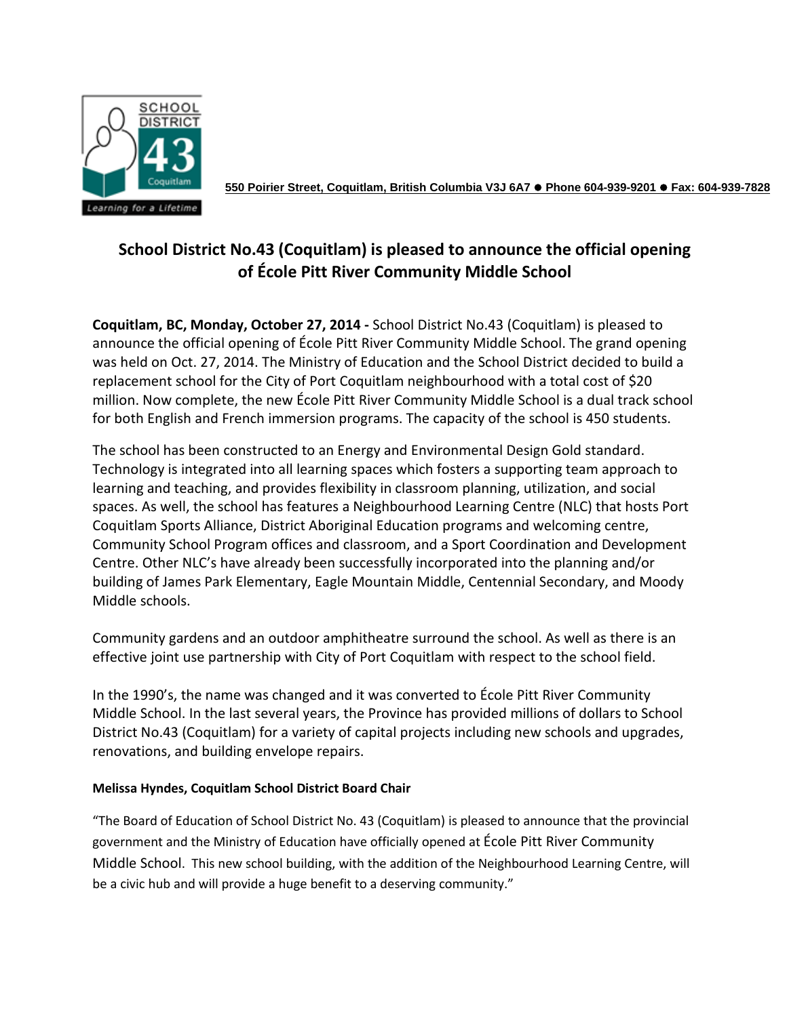

**550 Poirier Street, Coquitlam, British Columbia V3J 6A7 Phone 604-939-9201 Fax: 604-939-7828**

## **School District No.43 (Coquitlam) is pleased to announce the official opening of École Pitt River Community Middle School**

**Coquitlam, BC, Monday, October 27, 2014 -** School District No.43 (Coquitlam) is pleased to announce the official opening of École Pitt River Community Middle School. The grand opening was held on Oct. 27, 2014. The Ministry of Education and the School District decided to build a replacement school for the City of Port Coquitlam neighbourhood with a total cost of \$20 million. Now complete, the new École Pitt River Community Middle School is a dual track school for both English and French immersion programs. The capacity of the school is 450 students.

The school has been constructed to an Energy and Environmental Design Gold standard. Technology is integrated into all learning spaces which fosters a supporting team approach to learning and teaching, and provides flexibility in classroom planning, utilization, and social spaces. As well, the school has features a Neighbourhood Learning Centre (NLC) that hosts Port Coquitlam Sports Alliance, District Aboriginal Education programs and welcoming centre, Community School Program offices and classroom, and a Sport Coordination and Development Centre. Other NLC's have already been successfully incorporated into the planning and/or building of James Park Elementary, Eagle Mountain Middle, Centennial Secondary, and Moody Middle schools.

Community gardens and an outdoor amphitheatre surround the school. As well as there is an effective joint use partnership with City of Port Coquitlam with respect to the school field.

In the 1990's, the name was changed and it was converted to École Pitt River Community Middle School. In the last several years, the Province has provided millions of dollars to School District No.43 (Coquitlam) for a variety of capital projects including new schools and upgrades, renovations, and building envelope repairs.

## **Melissa Hyndes, Coquitlam School District Board Chair**

"The Board of Education of School District No. 43 (Coquitlam) is pleased to announce that the provincial government and the Ministry of Education have officially opened at École Pitt River Community Middle School. This new school building, with the addition of the Neighbourhood Learning Centre, will be a civic hub and will provide a huge benefit to a deserving community."